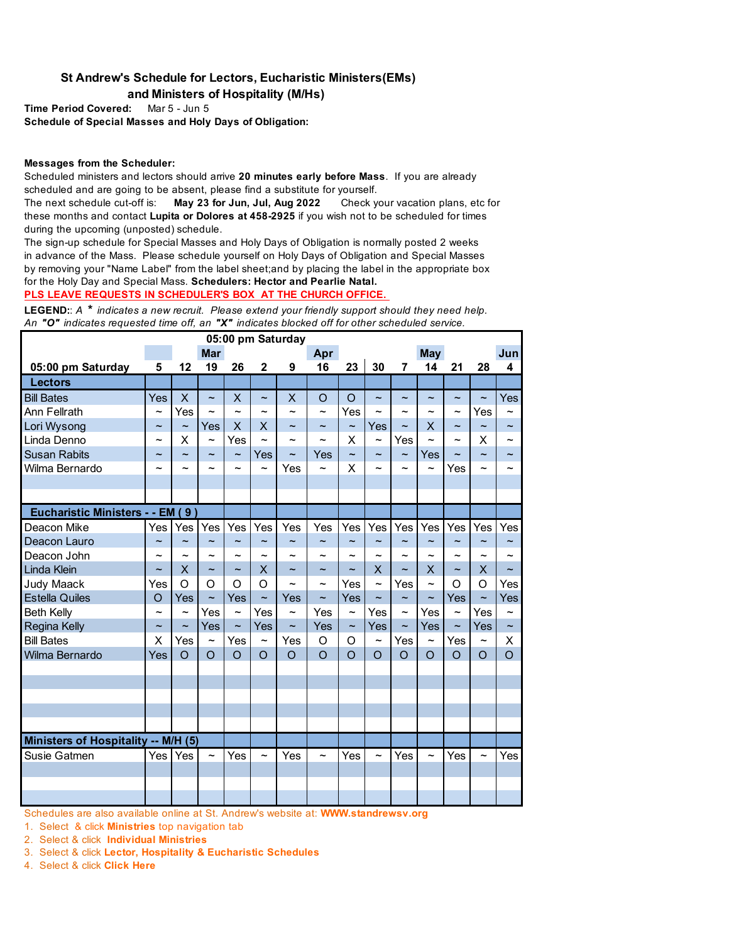## **St Andrew's Schedule for Lectors, Eucharistic Ministers(EMs) and Ministers of Hospitality (M/Hs)**

**Time Period Covered:** Mar 5 - Jun 5 **Schedule of Special Masses and Holy Days of Obligation:**

## **Messages from the Scheduler:**

Scheduled ministers and lectors should arrive **20 minutes early before Mass**. If you are already scheduled and are going to be absent, please find a substitute for yourself.

The next schedule cut-off is: **May 23 for Jun, Jul, Aug 2022** Check your vacation plans, etc for these months and contact **Lupita or Dolores at 458-2925** if you wish not to be scheduled for times during the upcoming (unposted) schedule.

The sign-up schedule for Special Masses and Holy Days of Obligation is normally posted 2 weeks in advance of the Mass. Please schedule yourself on Holy Days of Obligation and Special Masses by removing your "Name Label" from the label sheet;and by placing the label in the appropriate box for the Holy Day and Special Mass. **Schedulers: Hector and Pearlie Natal.** 

**PLS LEAVE REQUESTS IN SCHEDULER'S BOX AT THE CHURCH OFFICE.** 

**LEGEND:**: *A \* indicates a new recruit. Please extend your friendly support should they need help. An "O" indicates requested time off, an "X" indicates blocked off for other scheduled service.* 

| 05:00 pm Saturday                     |                           |                       |                       |                         |                          |                       |                       |                       |                       |                       |                       |                           |                       |                          |
|---------------------------------------|---------------------------|-----------------------|-----------------------|-------------------------|--------------------------|-----------------------|-----------------------|-----------------------|-----------------------|-----------------------|-----------------------|---------------------------|-----------------------|--------------------------|
|                                       |                           |                       | <b>Mar</b>            |                         |                          |                       | Apr                   |                       |                       |                       | <b>May</b>            |                           |                       | Jun                      |
| 05:00 pm Saturday                     | 5                         | 12                    | 19                    | 26                      | 2                        | 9                     | 16                    | 23                    | 30                    | $\overline{7}$        | 14                    | 21                        | 28                    | 4                        |
| Lectors                               |                           |                       |                       |                         |                          |                       |                       |                       |                       |                       |                       |                           |                       |                          |
| <b>Bill Bates</b>                     | Yes                       | X                     | $\tilde{\phantom{0}}$ | X                       | $\tilde{\phantom{0}}$    | X                     | O                     | $\circ$               | $\tilde{}$            | $\tilde{\phantom{a}}$ | $\tilde{\phantom{a}}$ | $\tilde{}$                | $\tilde{\phantom{a}}$ | Yes                      |
| Ann Fellrath                          | $\tilde{\phantom{a}}$     | Yes                   | ∼                     | $\sim$                  | ∼                        | $\tilde{\phantom{a}}$ | $\tilde{\phantom{a}}$ | Yes                   | ∼                     | $\tilde{\phantom{a}}$ |                       | ∼                         | Yes                   | ∼                        |
| Lori Wysong                           | $\widetilde{\phantom{m}}$ | $\tilde{\phantom{a}}$ | Yes                   | $\overline{\mathsf{X}}$ | X                        | $\tilde{\phantom{a}}$ | $\tilde{\phantom{a}}$ | $\tilde{}$            | Yes                   | $\tilde{}$            | X                     | $\widetilde{\phantom{m}}$ | $\tilde{\phantom{a}}$ | $\overline{\phantom{a}}$ |
| Linda Denno                           | ~                         | X                     | $\overline{ }$        | Yes                     | $\overline{ }$           | $\tilde{}$            | ∼                     | X                     | $\tilde{\phantom{a}}$ | Yes                   | $\ddot{\phantom{1}}$  | $\sim$                    | X                     |                          |
| <b>Susan Rabits</b>                   |                           | $\tilde{}$            | $\tilde{}$            | $\tilde{\phantom{a}}$   | Yes                      | $\tilde{\phantom{a}}$ | Yes                   | $\tilde{\phantom{a}}$ | $\tilde{\phantom{a}}$ | $\tilde{\phantom{a}}$ | Yes                   | $\tilde{\phantom{a}}$     |                       |                          |
| Wilma Bernardo                        |                           |                       |                       |                         | $\overline{ }$           | Yes                   | $\tilde{\phantom{a}}$ | X                     | $\sim$                |                       | $\overline{ }$        | Yes                       |                       |                          |
|                                       |                           |                       |                       |                         |                          |                       |                       |                       |                       |                       |                       |                           |                       |                          |
|                                       |                           |                       |                       |                         |                          |                       |                       |                       |                       |                       |                       |                           |                       |                          |
| <b>Eucharistic Ministers - - EM (</b> |                           | 9)                    |                       |                         |                          |                       |                       |                       |                       |                       |                       |                           |                       |                          |
| Deacon Mike                           | Yes                       | Yes                   | Yes                   | Yes                     | Yes                      | Yes                   | Yes                   | Yes                   | Yes                   | Yes                   | Yes                   | Yes                       | Yes                   | Yes                      |
| Deacon Lauro                          | $\sim$                    | $\sim$                | ∼                     | $\sim$                  | $\sim$                   | $\tilde{\phantom{a}}$ | $\tilde{\phantom{a}}$ | $\sim$                | $\sim$                | $\sim$                | $\tilde{\phantom{a}}$ | $\tilde{\phantom{a}}$     | $\tilde{\phantom{a}}$ |                          |
| Deacon John                           | ∼                         | ∼                     | ~                     | $\tilde{}$              | ~                        | ∼                     | ∼                     | ∼                     | $\sim$                | $\tilde{\phantom{a}}$ |                       |                           |                       |                          |
| <b>Linda Klein</b>                    | $\tilde{\phantom{a}}$     | X                     | $\tilde{\phantom{a}}$ | $\tilde{\phantom{a}}$   | X                        | $\tilde{\phantom{a}}$ | $\tilde{\phantom{a}}$ | $\tilde{\phantom{a}}$ | $\mathsf{X}$          | $\tilde{\phantom{a}}$ | X                     | $\tilde{}$                | X                     | $\sim$                   |
| <b>Judy Maack</b>                     | Yes                       | $\circ$               | O                     | $\circ$                 | O                        | $\tilde{\phantom{a}}$ | $\tilde{\phantom{a}}$ | Yes                   | $\tilde{\phantom{a}}$ | Yes                   | $\sim$                | O                         | O                     | Yes                      |
| <b>Estella Quiles</b>                 | $\circ$                   | Yes                   | $\tilde{\phantom{a}}$ | Yes                     | $\overline{\phantom{0}}$ | Yes                   | $\tilde{\phantom{a}}$ | Yes                   | $\tilde{}$            | $\tilde{\phantom{a}}$ | $\tilde{}$            | Yes                       | $\tilde{\phantom{a}}$ | Yes                      |
| <b>Beth Kelly</b>                     | $\tilde{\phantom{a}}$     | $\tilde{\phantom{a}}$ | Yes                   | $\tilde{\phantom{a}}$   | Yes                      | $\tilde{\phantom{a}}$ | Yes                   | $\tilde{\phantom{a}}$ | Yes                   | $\tilde{}$            | Yes                   | $\tilde{\phantom{a}}$     | Yes                   | $\tilde{\phantom{a}}$    |
| <b>Regina Kelly</b>                   | $\tilde{\phantom{a}}$     | $\tilde{\phantom{a}}$ | Yes                   | $\tilde{}$              | Yes                      | $\tilde{\phantom{0}}$ | Yes                   | $\tilde{}$            | Yes                   | $\tilde{}$            | Yes                   | $\tilde{\phantom{a}}$     | Yes                   | $\tilde{\phantom{a}}$    |
| <b>Bill Bates</b>                     | X                         | Yes                   | $\tilde{\phantom{a}}$ | Yes                     | $\overline{ }$           | Yes                   | O                     | $\Omega$              | $\tilde{\phantom{a}}$ | Yes                   | $\tilde{}$            | Yes                       | ∼                     | X                        |
| Wilma Bernardo                        | Yes                       | $\circ$               | $\circ$               | $\circ$                 | $\circ$                  | $\overline{O}$        | $\Omega$              | $\Omega$              | $\Omega$              | $\Omega$              | $\Omega$              | $\Omega$                  | $\Omega$              | $\Omega$                 |
|                                       |                           |                       |                       |                         |                          |                       |                       |                       |                       |                       |                       |                           |                       |                          |
|                                       |                           |                       |                       |                         |                          |                       |                       |                       |                       |                       |                       |                           |                       |                          |
|                                       |                           |                       |                       |                         |                          |                       |                       |                       |                       |                       |                       |                           |                       |                          |
|                                       |                           |                       |                       |                         |                          |                       |                       |                       |                       |                       |                       |                           |                       |                          |
|                                       |                           |                       |                       |                         |                          |                       |                       |                       |                       |                       |                       |                           |                       |                          |
| Ministers of Hospitality -- M/H (5)   |                           |                       |                       |                         |                          |                       |                       |                       |                       |                       |                       |                           |                       |                          |
| Susie Gatmen                          | <b>Yes</b>                | Yes                   | $\tilde{}$            | Yes                     | ~                        | Yes                   | $\tilde{\phantom{a}}$ | Yes                   | $\tilde{\phantom{a}}$ | Yes                   | $\tilde{\phantom{a}}$ | Yes                       | $\tilde{\phantom{a}}$ | Yes                      |
|                                       |                           |                       |                       |                         |                          |                       |                       |                       |                       |                       |                       |                           |                       |                          |
|                                       |                           |                       |                       |                         |                          |                       |                       |                       |                       |                       |                       |                           |                       |                          |
|                                       |                           |                       |                       |                         |                          |                       |                       |                       |                       |                       |                       |                           |                       |                          |

Schedules are also available online at St. Andrew's website at: **WWW.standrewsv.org**

1. Select& click **Ministries** top navigation tab

2. Select & click **Individual Ministries**

3. Select & click **Lector, Hospitality & Eucharistic Schedules**

4. Select & click **Click Here**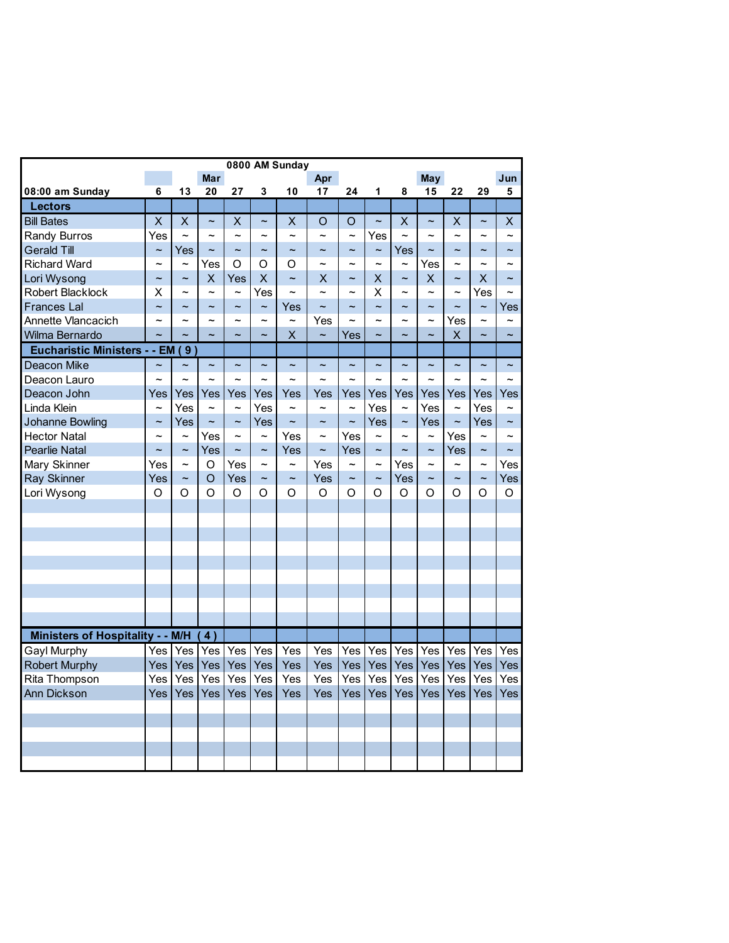| 0800 AM Sunday                                                                                                                                                                                                                                                            |                                 |                           |                                      |                                        |                          |                           |                                        |                          |                          |                                               |                                 |                                 |                                 |                       |
|---------------------------------------------------------------------------------------------------------------------------------------------------------------------------------------------------------------------------------------------------------------------------|---------------------------------|---------------------------|--------------------------------------|----------------------------------------|--------------------------|---------------------------|----------------------------------------|--------------------------|--------------------------|-----------------------------------------------|---------------------------------|---------------------------------|---------------------------------|-----------------------|
|                                                                                                                                                                                                                                                                           |                                 |                           | <b>Mar</b>                           |                                        |                          |                           | Apr                                    |                          |                          |                                               | May                             |                                 |                                 | Jun                   |
| 08:00 am Sunday                                                                                                                                                                                                                                                           | 6                               | 13                        | 20                                   | 27                                     | 3                        | 10                        | 17                                     | 24                       | 1                        | 8                                             | 15                              | 22                              | 29                              | 5                     |
| <b>Lectors</b>                                                                                                                                                                                                                                                            |                                 |                           |                                      |                                        |                          |                           |                                        |                          |                          |                                               |                                 |                                 |                                 |                       |
| <b>Bill Bates</b>                                                                                                                                                                                                                                                         | $\overline{\mathsf{x}}$         | $\overline{\mathsf{x}}$   | $\tilde{}$                           | $\overline{\mathsf{x}}$                | $\sim$                   | X                         | O                                      | $\circ$                  | $\sim$                   | X                                             | $\overline{\phantom{0}}$        | X                               | $\tilde{\phantom{a}}$           | X                     |
| Randy Burros                                                                                                                                                                                                                                                              | Yes                             | $\tilde{\phantom{a}}$     | $\overline{ }$                       | $\tilde{\phantom{a}}$                  | $\tilde{\phantom{a}}$    | $\sim$                    | $\sim$                                 | $\sim$                   | Yes                      | $\sim$                                        | $\overline{ }$                  | $\overline{ }$                  | ∼                               |                       |
| <b>Gerald Till</b>                                                                                                                                                                                                                                                        | $\tilde{}$                      | Yes                       | $\tilde{}$                           | $\tilde{\phantom{a}}$                  | $\tilde{}$               | $\tilde{}$                | $\sim$                                 | $\tilde{}$               | $\tilde{}$               | Yes                                           | $\sim$                          | $\tilde{\phantom{a}}$           | $\tilde{\phantom{a}}$           | $\tilde{\phantom{a}}$ |
| <b>Richard Ward</b>                                                                                                                                                                                                                                                       | ∼                               | $\tilde{}$                | Yes                                  | O                                      | O                        | O                         | $\tilde{\phantom{a}}$                  | $\tilde{\phantom{a}}$    | $\tilde{\phantom{a}}$    | $\tilde{\phantom{a}}$                         | Yes                             | $\tilde{\phantom{a}}$           |                                 |                       |
| Lori Wysong                                                                                                                                                                                                                                                               | $\tilde{\phantom{a}}$           | $\tilde{}$                | X                                    | Yes                                    | X                        | $\tilde{}$                | X                                      | $\tilde{}$               | X                        | $\tilde{}$                                    | X                               | $\overline{\phantom{0}}$        | X                               |                       |
|                                                                                                                                                                                                                                                                           | X                               | $\sim$                    | $\sim$                               | $\sim$                                 | Yes                      | $\sim$                    | $\sim$                                 | $\sim$                   | Χ                        | $\sim$                                        | $\sim$                          | $\sim$                          | Yes                             |                       |
| <b>Frances Lal</b>                                                                                                                                                                                                                                                        | $\tilde{\phantom{a}}$           | $\tilde{}$                | $\tilde{}$                           | $\sim$                                 | $\tilde{}$               | Yes                       | $\sim$                                 | $\sim$                   | $\sim$                   | $\sim$                                        | $\sim$                          | $\ddot{\phantom{1}}$            | $\tilde{\phantom{a}}$           | Yes                   |
| Annette Vlancacich                                                                                                                                                                                                                                                        | $\sim$                          | $\sim$                    | $\sim$                               | $\sim$                                 | $\sim$                   | $\sim$                    | Yes                                    |                          |                          | $\sim$                                        | $\sim$                          | Yes                             | $\sim$                          |                       |
| Wilma Bernardo                                                                                                                                                                                                                                                            |                                 |                           | $\sim$                               |                                        | $\ddot{\phantom{0}}$     | X                         | $\ddot{\phantom{1}}$                   | Yes                      |                          |                                               |                                 | X                               |                                 |                       |
| <b>Eucharistic Ministers - - EM</b>                                                                                                                                                                                                                                       |                                 | 9)                        |                                      |                                        |                          |                           |                                        |                          |                          |                                               |                                 |                                 |                                 |                       |
|                                                                                                                                                                                                                                                                           | $\tilde{}$                      | $\tilde{\phantom{a}}$     | $\tilde{\phantom{0}}$                | $\tilde{\phantom{a}}$                  | $\tilde{\phantom{a}}$    | $\tilde{\phantom{a}}$     | $\tilde{\phantom{a}}$                  | $\tilde{\phantom{a}}$    | $\tilde{\phantom{a}}$    | $\tilde{\phantom{a}}$                         | $\tilde{\phantom{a}}$           | $\tilde{\phantom{a}}$           | $\tilde{\phantom{a}}$           |                       |
|                                                                                                                                                                                                                                                                           |                                 |                           | $\tilde{\phantom{a}}$                | $\overline{ }$                         | $\overline{ }$           |                           |                                        | $\sim$                   | $\sim$                   |                                               |                                 |                                 | ∼                               |                       |
| Deacon John                                                                                                                                                                                                                                                               | Yes                             | Yes                       | Yes                                  | Yes                                    | Yes                      | Yes                       | Yes                                    | Yes                      | Yes                      |                                               | Yes                             |                                 | Yes                             | Yes                   |
|                                                                                                                                                                                                                                                                           | $\tilde{}$                      | Yes                       | $\sim$                               | $\sim$                                 | Yes                      | $\sim$                    | $\tilde{\phantom{a}}$                  | $\sim$                   | Yes                      | $\sim$                                        |                                 | $\tilde{\phantom{a}}$           |                                 |                       |
|                                                                                                                                                                                                                                                                           | $\tilde{\phantom{a}}$           | Yes                       | $\sim$                               | $\sim$                                 | Yes                      | $\sim$                    | $\sim$                                 | $\tilde{}$               | Yes                      | $\sim$                                        | Yes                             | $\ddot{ }$                      | Yes                             | $\tilde{\phantom{a}}$ |
| <b>Hector Natal</b>                                                                                                                                                                                                                                                       |                                 | $\widetilde{\phantom{m}}$ | Yes                                  | $\overline{\phantom{0}}$               | $\tilde{\phantom{a}}$    | Yes                       | $\tilde{\phantom{a}}$                  | Yes                      | $\sim$                   | $\tilde{\phantom{a}}$                         | $\overline{ }$                  | Yes                             | $\tilde{\phantom{a}}$           |                       |
|                                                                                                                                                                                                                                                                           | $\overline{\phantom{0}}$        | $\widetilde{\phantom{m}}$ | Yes                                  | $\widetilde{\phantom{m}}$              | $\tilde{}$               | Yes                       | $\sim$                                 | Yes                      | $\tilde{}$               | $\tilde{}$                                    | $\sim$                          | Yes                             | $\overline{\phantom{0}}$        | $\ddot{\phantom{1}}$  |
|                                                                                                                                                                                                                                                                           |                                 | $\tilde{}$                |                                      |                                        | $\tilde{\phantom{a}}$    | $\tilde{\phantom{a}}$     |                                        | $\tilde{}$               | $\sim$                   |                                               | $\tilde{\phantom{a}}$           | $\tilde{\phantom{a}}$           | $\tilde{\phantom{a}}$           | Yes                   |
|                                                                                                                                                                                                                                                                           | Yes                             | $\tilde{}$                | O                                    |                                        | $\tilde{}$               | $\widetilde{\phantom{m}}$ |                                        | $\tilde{}$               | $\tilde{}$               |                                               | $\sim$                          | $\sim$                          | $\tilde{\phantom{a}}$           | Yes                   |
|                                                                                                                                                                                                                                                                           | O                               | O                         | O                                    | O                                      | Ω                        | Ω                         | $\Omega$                               | Ω                        | Ω                        | $\Omega$                                      | Ω                               | Ω                               | Ω                               | $\circ$               |
|                                                                                                                                                                                                                                                                           |                                 |                           |                                      |                                        |                          |                           |                                        |                          |                          |                                               |                                 |                                 |                                 |                       |
|                                                                                                                                                                                                                                                                           |                                 |                           |                                      |                                        |                          |                           |                                        |                          |                          |                                               |                                 |                                 |                                 |                       |
|                                                                                                                                                                                                                                                                           |                                 |                           |                                      |                                        |                          |                           |                                        |                          |                          |                                               |                                 |                                 |                                 |                       |
|                                                                                                                                                                                                                                                                           |                                 |                           |                                      |                                        |                          |                           |                                        |                          |                          |                                               |                                 |                                 |                                 |                       |
|                                                                                                                                                                                                                                                                           |                                 |                           |                                      |                                        |                          |                           |                                        |                          |                          |                                               |                                 |                                 |                                 |                       |
|                                                                                                                                                                                                                                                                           |                                 |                           |                                      |                                        |                          |                           |                                        |                          |                          |                                               |                                 |                                 |                                 |                       |
|                                                                                                                                                                                                                                                                           |                                 |                           |                                      |                                        |                          |                           |                                        |                          |                          |                                               |                                 |                                 |                                 |                       |
|                                                                                                                                                                                                                                                                           |                                 |                           |                                      |                                        |                          |                           |                                        |                          |                          |                                               |                                 |                                 |                                 |                       |
|                                                                                                                                                                                                                                                                           |                                 |                           |                                      |                                        |                          |                           |                                        |                          |                          |                                               |                                 |                                 |                                 |                       |
|                                                                                                                                                                                                                                                                           |                                 |                           |                                      |                                        |                          |                           |                                        |                          |                          |                                               |                                 |                                 |                                 |                       |
|                                                                                                                                                                                                                                                                           |                                 |                           |                                      |                                        |                          |                           |                                        |                          |                          |                                               |                                 |                                 |                                 | Yes                   |
|                                                                                                                                                                                                                                                                           |                                 |                           |                                      |                                        |                          |                           |                                        |                          |                          |                                               |                                 |                                 |                                 | Yes                   |
|                                                                                                                                                                                                                                                                           |                                 |                           |                                      |                                        |                          |                           |                                        |                          |                          |                                               |                                 |                                 |                                 | Yes                   |
|                                                                                                                                                                                                                                                                           |                                 |                           |                                      |                                        |                          |                           |                                        |                          |                          |                                               |                                 |                                 |                                 | Yes                   |
|                                                                                                                                                                                                                                                                           |                                 |                           |                                      |                                        |                          |                           |                                        |                          |                          |                                               |                                 |                                 |                                 |                       |
|                                                                                                                                                                                                                                                                           |                                 |                           |                                      |                                        |                          |                           |                                        |                          |                          |                                               |                                 |                                 |                                 |                       |
|                                                                                                                                                                                                                                                                           |                                 |                           |                                      |                                        |                          |                           |                                        |                          |                          |                                               |                                 |                                 |                                 |                       |
|                                                                                                                                                                                                                                                                           |                                 |                           |                                      |                                        |                          |                           |                                        |                          |                          |                                               |                                 |                                 |                                 |                       |
|                                                                                                                                                                                                                                                                           |                                 |                           |                                      |                                        |                          |                           |                                        |                          |                          |                                               |                                 |                                 |                                 |                       |
| Robert Blacklock<br>Deacon Mike<br>Deacon Lauro<br>Linda Klein<br>Johanne Bowling<br><b>Pearlie Natal</b><br>Mary Skinner<br>Ray Skinner<br>Lori Wysong<br>Ministers of Hospitality - - M/H<br><b>Gayl Murphy</b><br><b>Robert Murphy</b><br>Rita Thompson<br>Ann Dickson | Yes<br>Yes<br>Yes<br>Yes<br>Yes | Yes<br>Yes<br>Yes<br>Yes  | O<br>(4)<br>Yes<br>Yes<br>Yes<br>Yes | Yes<br>Yes<br>Yes<br>Yes<br>Yes<br>Yes | Yes<br>Yes<br>Yes<br>Yes | Yes<br>Yes<br>Yes<br>Yes  | Yes<br>Yes<br>Yes<br>Yes<br>Yes<br>Yes | Yes<br>Yes<br>Yes<br>Yes | Yes<br>Yes<br>Yes<br>Yes | Yes<br>Yes<br>Yes<br>Yes<br>Yes<br>Yes<br>Yes | Yes<br>Yes<br>Yes<br>Yes<br>Yes | Yes<br>Yes<br>Yes<br>Yes<br>Yes | Yes<br>Yes<br>Yes<br>Yes<br>Yes |                       |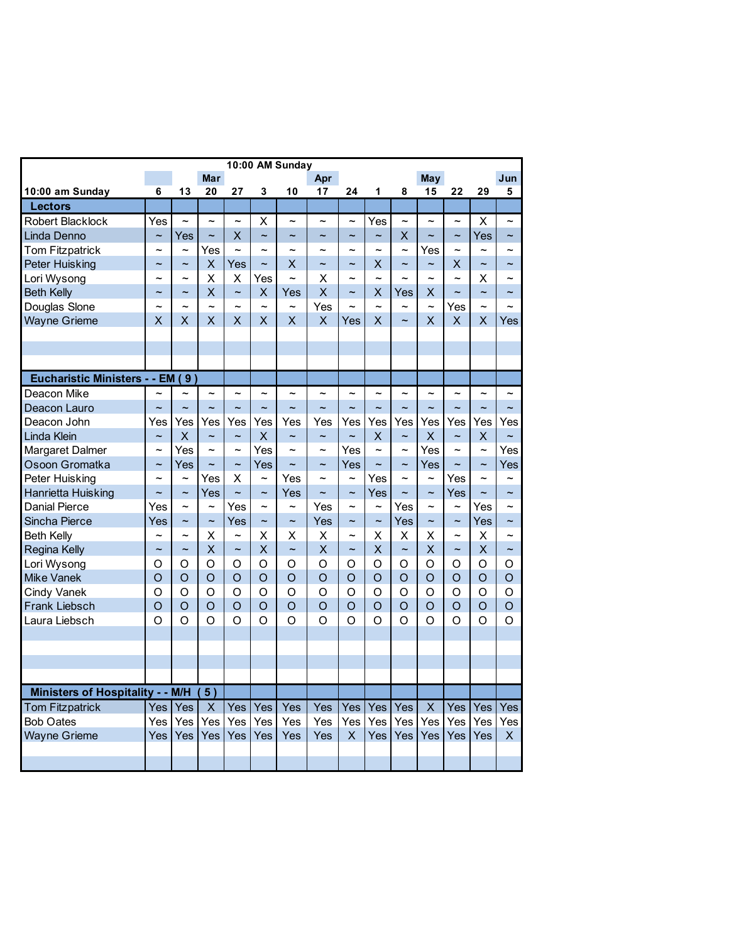| 10:00 AM Sunday                  |                          |                       |                          |                       |                      |                       |                       |                       |                          |                          |                       |                       |                          |                       |
|----------------------------------|--------------------------|-----------------------|--------------------------|-----------------------|----------------------|-----------------------|-----------------------|-----------------------|--------------------------|--------------------------|-----------------------|-----------------------|--------------------------|-----------------------|
|                                  |                          |                       | <b>Mar</b>               |                       |                      |                       | Apr                   |                       |                          |                          | May                   |                       |                          | Jun                   |
| 10:00 am Sunday                  | 6                        | 13                    | 20                       | 27                    | 3                    | 10                    | 17                    | 24                    | 1                        | 8                        | 15                    | 22                    | 29                       | 5                     |
| <b>Lectors</b>                   |                          |                       |                          |                       |                      |                       |                       |                       |                          |                          |                       |                       |                          |                       |
| Robert Blacklock                 | Yes                      | $\tilde{\phantom{a}}$ | $\tilde{\phantom{a}}$    | $\tilde{\phantom{a}}$ | X                    | $\tilde{\phantom{0}}$ | $\tilde{\phantom{a}}$ | $\tilde{\phantom{a}}$ | Yes                      | $\tilde{\phantom{a}}$    | $\sim$                | $\tilde{\phantom{a}}$ | X                        | $\sim$                |
| Linda Denno                      | $\tilde{}$               | Yes                   | $\ddot{\phantom{0}}$     | X                     | $\ddot{\phantom{0}}$ | $\ddot{\phantom{0}}$  | $\ddot{ }$            | $\ddot{\phantom{0}}$  | $\sim$                   | $\overline{\mathsf{x}}$  | $\sim$                | $\ddot{\phantom{0}}$  | Yes                      | $\ddot{\phantom{0}}$  |
| <b>Tom Fitzpatrick</b>           | $\overline{ }$           | $\sim$                | Yes                      | $\sim$                | $\overline{ }$       | $\sim$                | $\sim$                | $\sim$                |                          | $\sim$                   | Yes                   | $\sim$                | $\sim$                   |                       |
| <b>Peter Huisking</b>            | $\tilde{\phantom{a}}$    | $\tilde{}$            | X                        | Yes                   | $\sim$               | X                     | $\sim$                | $\tilde{\phantom{a}}$ | X                        | $\tilde{\phantom{a}}$    | $\tilde{}$            | X                     | $\overline{\phantom{0}}$ | $\sim$                |
| Lori Wysong                      | ∼                        | $\tilde{\phantom{a}}$ | X                        | х                     | Yes                  | $\tilde{\phantom{a}}$ | Х                     | ∼                     | $\sim$                   | $\overline{\phantom{0}}$ |                       | $\tilde{\phantom{a}}$ | x                        |                       |
| <b>Beth Kelly</b>                | $\tilde{\phantom{a}}$    | $\tilde{}$            | X                        | $\tilde{}$            | X                    | Yes                   | X                     | $\tilde{\phantom{a}}$ | X                        | Yes                      | X                     | $\sim$                | $\ddot{\phantom{1}}$     |                       |
| Douglas Slone                    | ∼                        | $\ddot{ }$            | $\ddot{\phantom{1}}$     | $\ddot{\phantom{1}}$  | $\sim$               | $\ddot{\phantom{1}}$  | Yes                   | $\ddot{ }$            | $\overline{\phantom{0}}$ | $\tilde{\phantom{a}}$    | $\sim$                | Yes                   | $\ddot{\phantom{1}}$     |                       |
| <b>Wayne Grieme</b>              | X                        | X                     | Χ                        | Χ                     | X                    | X                     | X                     | Yes                   | X                        | $\tilde{\phantom{a}}$    | X                     | X                     | X                        | Yes                   |
|                                  |                          |                       |                          |                       |                      |                       |                       |                       |                          |                          |                       |                       |                          |                       |
|                                  |                          |                       |                          |                       |                      |                       |                       |                       |                          |                          |                       |                       |                          |                       |
|                                  |                          |                       |                          |                       |                      |                       |                       |                       |                          |                          |                       |                       |                          |                       |
| Eucharistic Ministers - - EM (9) |                          |                       |                          |                       |                      |                       |                       |                       |                          |                          |                       |                       |                          |                       |
| Deacon Mike                      |                          |                       | $\overline{ }$           | ∼                     | $\ddot{ }$           | $\overline{ }$        | $\ddot{\phantom{1}}$  | $\sim$                | $\overline{ }$           | $\ddot{ }$               | $\overline{ }$        | $\sim$                | $\ddot{ }$               |                       |
| Deacon Lauro                     | $\overline{\phantom{0}}$ | $\sim$                | $\ddot{\phantom{0}}$     | $\ddot{ }$            | $\ddot{\phantom{1}}$ | $\sim$                | $\sim$                | $\overline{ }$        | $\ddot{\phantom{1}}$     | $\sim$                   | $\sim$                | $\sim$                | $\sim$                   |                       |
| Deacon John                      | Yes                      | Yes                   | Yes                      | Yes                   | Yes                  | Yes                   | Yes                   | Yes                   | Yes                      | Yes                      | Yes                   | Yes                   | Yes                      | Yes                   |
| Linda Klein                      | $\tilde{}$               | X                     | $\tilde{\phantom{0}}$    | $\tilde{}$            | X                    | $\tilde{}$            | $\tilde{}$            | $\tilde{}$            | X                        | $\tilde{\phantom{a}}$    | X                     | $\tilde{}$            | X                        | $\tilde{\phantom{a}}$ |
| Margaret Dalmer                  | $\tilde{\phantom{a}}$    | Yes                   | $\tilde{\phantom{a}}$    | $\tilde{\phantom{a}}$ | Yes                  | ∼                     | ∼                     | Yes                   | $\tilde{\phantom{a}}$    | $\tilde{\phantom{a}}$    | Yes                   | $\tilde{\phantom{a}}$ | $\tilde{\phantom{a}}$    | Yes                   |
| Osoon Gromatka                   | $\tilde{\phantom{a}}$    | Yes                   | $\overline{\phantom{0}}$ | $\sim$                | Yes                  | $\tilde{\phantom{a}}$ | $\tilde{\phantom{a}}$ | Yes                   | $\sim$                   | $\tilde{}$               | Yes                   | $\sim$                | $\ddot{\phantom{1}}$     | Yes                   |
| Peter Huisking                   | $\ddot{\phantom{0}}$     | $\sim$                | Yes                      | X                     | $\sim$               | Yes                   | $\sim$                | $\sim$                | Yes                      | $\overline{\phantom{0}}$ | $\sim$                | Yes                   | $\overline{ }$           | $\sim$                |
| Hanrietta Huisking               | $\sim$                   | $\tilde{}$            | Yes                      | $\sim$                | $\tilde{}$           | Yes                   | $\sim$                | $\tilde{}$            | Yes                      | $\ddot{\phantom{1}}$     | $\tilde{\phantom{a}}$ | Yes                   | $\sim$                   | $\sim$                |
| <b>Danial Pierce</b>             | Yes                      | $\tilde{\phantom{a}}$ | $\overline{ }$           | Yes                   | $\sim$               | $\tilde{\phantom{a}}$ | Yes                   | $\sim$                | $\tilde{\phantom{a}}$    | Yes                      | $\overline{ }$        | $\tilde{}$            | Yes                      |                       |
| Sincha Pierce                    | Yes                      | $\tilde{}$            | $\tilde{\phantom{a}}$    | Yes                   | $\tilde{}$           | $\tilde{\phantom{a}}$ | Yes                   | $\tilde{}$            | $\tilde{}$               | Yes                      | $\tilde{}$            | $\tilde{}$            | Yes                      | $\tilde{\phantom{a}}$ |
| <b>Beth Kelly</b>                | $\tilde{\phantom{a}}$    | $\tilde{\phantom{a}}$ | X                        | $\tilde{\phantom{a}}$ | X                    | X                     | х                     | $\sim$                | X                        | X                        | X                     | $\sim$                | X                        | $\sim$                |
| <b>Regina Kelly</b>              | $\tilde{\phantom{a}}$    | $\tilde{}$            | X                        | $\tilde{}$            | X                    | $\tilde{\phantom{a}}$ | Χ                     | $\tilde{}$            | X                        | $\tilde{}$               | X                     | $\tilde{}$            | X                        | $\tilde{}$            |
| Lori Wysong                      | O                        | O                     | O                        | O                     | O                    | O                     | O                     | O                     | O                        | O                        | O                     | O                     | O                        | O                     |
| <b>Mike Vanek</b>                | $\circ$                  | O                     | Ō                        | $\circ$               | $\circ$              | $\circ$               | $\Omega$              | $\Omega$              | $\circ$                  | $\circ$                  | O                     | O                     | O                        | $\circ$               |
| <b>Cindy Vanek</b>               | O                        | O                     | O                        | $\Omega$              | O                    | O                     | $\Omega$              | Ω                     | O                        | $\Omega$                 | $\Omega$              | Ω                     | O                        | O                     |
| Frank Liebsch                    | $\Omega$                 | $\Omega$              | $\Omega$                 | $\Omega$              | $\Omega$             | $\Omega$              | $\Omega$              | $\Omega$              | $\Omega$                 | $\Omega$                 | $\Omega$              | $\Omega$              | $\Omega$                 | $\Omega$              |
| Laura Liebsch                    | $\Omega$                 | Ω                     | $\Omega$                 | Ω                     | $\Omega$             | O                     | $\Omega$              | O                     | O                        | $\Omega$                 | $\Omega$              | Ω                     | $\Omega$                 | $\Omega$              |
|                                  |                          |                       |                          |                       |                      |                       |                       |                       |                          |                          |                       |                       |                          |                       |
|                                  |                          |                       |                          |                       |                      |                       |                       |                       |                          |                          |                       |                       |                          |                       |
|                                  |                          |                       |                          |                       |                      |                       |                       |                       |                          |                          |                       |                       |                          |                       |
|                                  |                          |                       |                          |                       |                      |                       |                       |                       |                          |                          |                       |                       |                          |                       |
| Ministers of Hospitality - - M/H |                          |                       | 5)                       |                       |                      |                       |                       |                       |                          |                          |                       |                       |                          |                       |
| <b>Tom Fitzpatrick</b>           | Yes                      | Yes                   | X                        | Yes                   | Yes                  | Yes                   | Yes                   | Yes                   | Yes                      | Yes                      | X                     | Yes                   | Yes                      | Yes                   |
| <b>Bob Oates</b>                 | Yes                      | Yes                   | Yes                      | Yes                   | Yes                  | Yes                   | Yes                   | Yes                   | Yes                      | Yes                      | Yes                   | Yes                   | Yes                      | Yes                   |
| <b>Wayne Grieme</b>              | Yes                      | Yes                   | Yes                      | Yes                   | Yes                  | Yes                   | Yes                   | X                     | Yes                      | Yes                      | Yes                   | Yes                   | Yes                      | X                     |
|                                  |                          |                       |                          |                       |                      |                       |                       |                       |                          |                          |                       |                       |                          |                       |
|                                  |                          |                       |                          |                       |                      |                       |                       |                       |                          |                          |                       |                       |                          |                       |